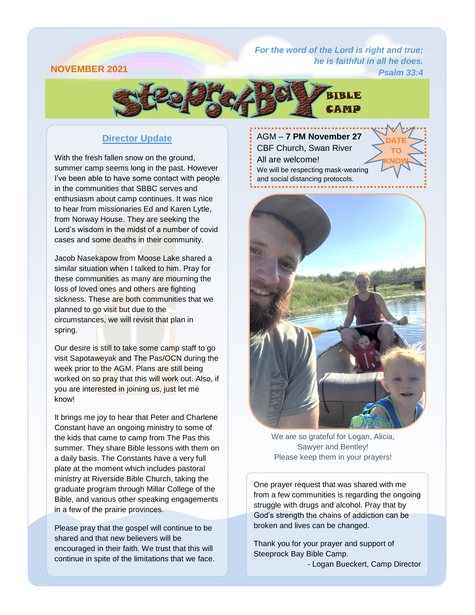## **NOVEMBER 2021**

*[For the word of the](https://attachment.outlook.live.net/owa/babrahamson@mymts.net/service.svc/s/GetAttachmentThumbnail?id=AQMkADAwATMwMAItOTYzNy03OWU5LTAwAi0wMAoARgAAAziNM9N2L7ZHj3UzkGlxZT4HADs%2BxeWW398AToarRDhoYRQuAAACAQ8AAADyWj1tZ4piR57gYxshuowtAAIM17wLAAAAARIAEACu0uWWjNymRIGUZy6IaWP6&thumbnailType=2&owa=outlook.live.com&scriptVer=2019081802.10&isc=1&X-OWA-CANARY=9eEvL0U8_Emj3b20LgV7oHAYdLyyLNcYDeHfE4yJtIa4bSeUSCh5jKYPfE-d5S5e9uqqTwkZn-0.&token=eyJhbGciOiJSUzI1NiIsImtpZCI6IjA2MDBGOUY2NzQ2MjA3MzdFNzM0MDRFMjg3QzQ1QTgxOENCN0NFQjgiLCJ4NXQiOiJCZ0Q1OW5SaUJ6Zm5OQVRpaDhSYWdZeTN6cmciLCJ0eXAiOiJKV1QifQ.eyJvcmlnaW4iOiJodHRwczovL291dGxvb2subGl2ZS5jb20iLCJ2ZXIiOiJFeGNoYW5nZS5DYWxsYmFjay5WMSIsImFwcGN0eHNlbmRlciI6Ik93YURvd25sb2FkQDg0ZGY5ZTdmLWU5ZjYtNDBhZi1iNDM1LWFhYWFhYWFhYWFhYSIsImFwcGN0eCI6IntcIm1zZXhjaHByb3RcIjpcIm93YVwiLFwicHJpbWFyeXNpZFwiOlwiUy0xLTI4MjctMTk2NjA4LTI1MjAyMTgwODlcIixcInB1aWRcIjpcIjg0NDQyNzQ1MDM1MDA1N1wiLFwib2lkXCI6XCIwMDAzMDAwMC05NjM3LTc5ZTktMDAwMC0wMDAwMDAwMDAwMDBcIixcInNjb3BlXCI6XCJPd2FEb3dubG9hZFwifSIsIm5iZiI6MTU2NzEwNDc4MSwiZXhwIjoxNTY3MTA1MzgxLCJpc3MiOiIwMDAwMDAwMi0wMDAwLTBmZjEtY2UwMC0wMDAwMDAwMDAwMDBAODRkZjllN2YtZTlmNi00MGFmLWI0MzUtYWFhYWFhYWFhYWFhIiwiYXVkIjoiMDAwMDAwMDItMDAwMC0wZmYxLWNlMDAtMDAwMDAwMDAwMDAwL2F0dGFjaG1lbnQub3V0bG9vay5saXZlLm5ldEA4NGRmOWU3Zi1lOWY2LTQwYWYtYjQzNS1hYWFhYWFhYWFhYWEifQ.fXq2H_jpuLAZAqTydeaRpapUiJho6SVXEOWYsaEFgmIWZySBwRk2sl6dLqTZ-MgYfDrMPhJu0PFMd6yYrc0cjv0JQzTTALqsTVUyTLSVQP0FVZpv_l1l_mEacv-e4qc3iSNSQ6y9L92cDxUEu8OaVB99Lga-cJKvgv57p3cwpNE35YVu8GeD0WKy9eKve6x6xgNaSNZTsiAPiX9XTk6iJl3Kfe1BM4lGYO5eL_7ShNszQ7UAjMIMdRSR2iYmxrf3reurvYxkWfvf6nDuluQ0c5S27Q2ZZQ_1QmEABrdG-kzKhOd7xexImI8LAIdfNKJ84yRfNecKLweOdH06tBUEPQ&animation=true) Lord is right and true; he is faithful in all he does.*

*Psalm 33:4*

**DATE TO KNOW**



## **Director Update**

With the fresh fallen snow on the ground, summer camp seems long in the past. However I've been able to have some contact with people in the communities that SBBC serves and enthusiasm about camp continues. It was nice to hear from missionaries Ed and Karen Lytle, from Norway House. They are seeking the Lord's wisdom in the midst of a number of covid cases and some deaths in their community.

Jacob Nasekapow from Moose Lake shared a similar situation when I talked to him. Pray for these communities as many are mourning the loss of loved ones and others are fighting sickness. These are both communities that we planned to go visit but due to the circumstances, we will revisit that plan in spring.

Our desire is still to take some camp staff to go visit Sapotaweyak and The Pas/OCN during the week prior to the AGM. Plans are still being worked on so pray that this will work out. Also, if you are interested in joining us, just let me know!

It brings me joy to hear that Peter and Charlene Constant have an ongoing ministry to some of the kids that came to camp from The Pas this summer. They share Bible lessons with them on a daily basis. The Constants have a very full plate at the moment which includes pastoral ministry at Riverside Bible Church, taking the graduate program through Millar College of the Bible, and various other speaking engagements in a few of the prairie provinces.

Please pray that the gospel will continue to be shared and that new believers will be encouraged in their faith. We trust that this will continue in spite of the limitations that we face.

#### AGM – **7 PM November 27**

CBF Church, Swan River All are welcome! We will be respecting mask-wearing and social distancing protocols.



We are so grateful for Logan, Alicia, Sawyer and Bentley! Please keep them in your prayers!

One prayer request that was shared with me from a few communities is regarding the ongoing struggle with drugs and alcohol. Pray that by God's strength the chains of addiction can be broken and lives can be changed.

Thank you for your prayer and support of Steeprock Bay Bible Camp.

- Logan Bueckert, Camp Director